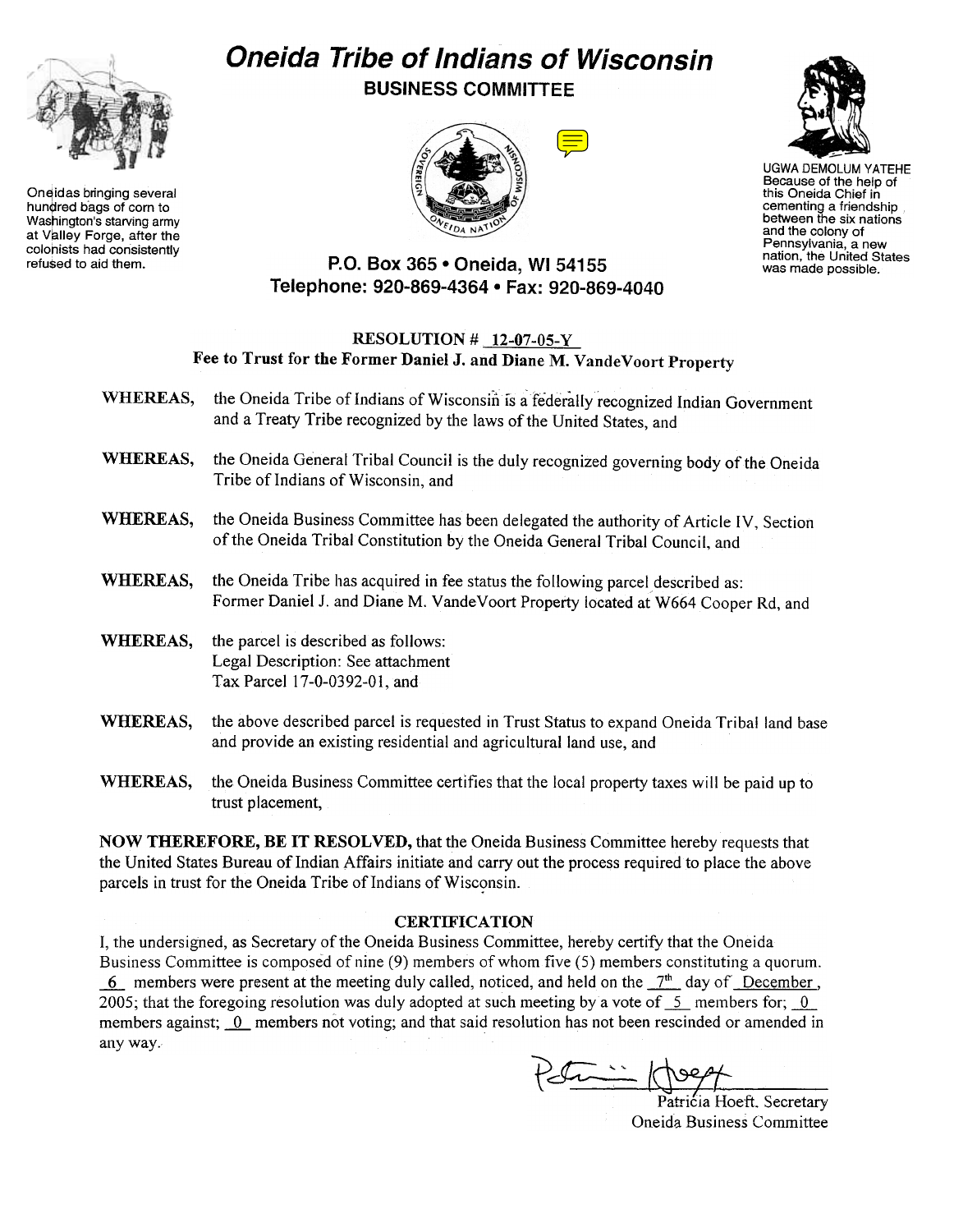

Oneidas bringing several hundred bags of corn to Washington's starving army at Valley Forge, after the colonists had consistently<br>refused to aid them.

## Oneida Tribe of Indians of Wisconsin BUSINESS COMMITTEE





UGWA DEMOLUM YATEHE Because of the help of this Oneida Chief in cementing a friendship<br>between the six nation and the colony of Pennsylvania, a new nation, the United States was made possible.

## P.O. Box 365 . Oneida, WI 54155 Telephone: 920-869-4364 . Fax: 920-869-4040

## RESOLUTION # 12-07-05-Y Fee to Trust for the Former DanielJ. and Diane M. VandeVoort Property

- WHEREAS, the Oneida Tribe of Indians of Wisconsin is a federally recognized Indian Government and a Treaty Tribe recognized by the laws of the United States, and
- WHEREAS, the Oneida General Tribal Council is the duly recognized governing body of the Oneida Tribe of Indians of Wisconsin, and
- WHEREAS, the Oneida Business Committee has been delegated the authority of Article IV, Section of the Oneida Tribal Constitution by the Oneida General Tribal Council, and
- WHEREAS, the Oneida Tribe has acquired in fee status the following parcel described as: Former Daniel J. and Diane M. VandeVoort Property located at W664 Cooper Rd, and
- WHEREAS, the parcel is described as follows: Legal Description: See attachment Tax Parcel 17-0-0392-01, and
- WHEREAS, the above described parcel is requested in Trust Status to expand Oneida Tribal land base and provide an existing residential and agricultural land use, and
- WHEREAS, the Oneida Business Committee certifies that the local property taxes will be paid up to trust placement,

NOW THEREFORE, BE IT RESOLVED, that the Oneida Business Committee hereby requests that the United States Bureau of Indian Affairs initiate and carry out the process required to place the above parcels in trust for the Oneida Tribe of Indians of Wisconsin.

## **CERTIFICATION**

I, the undersigned, as Secretary of the Oneida Business Committee, hereby certify that the Oneida Business Committee is composed of nine (9) members of whom five (5) members constituting a quorum. 6 members were present at the meeting duly called, noticed, and held on the  $7<sup>th</sup>$  day of December, 2005; that the foregoing resolution was duly adopted at such meeting by a vote of  $\leq$  members for;  $\leq$  0 members against; 0 members not voting; and that said resolution has not been rescinded or amended in any way.

 $\sqrt[3]{\cdot\cdot\cdot\cdot}$ 

Patricia Hoeft. Secretary Oneida Business Committee